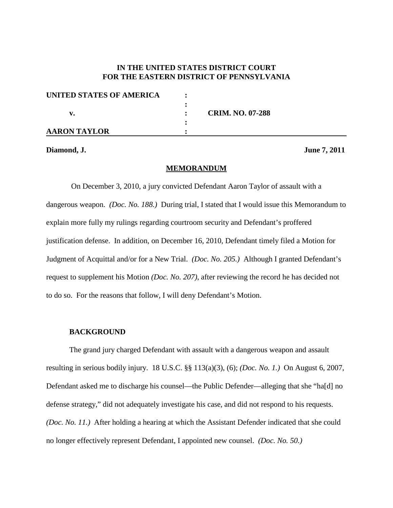# **IN THE UNITED STATES DISTRICT COURT FOR THE EASTERN DISTRICT OF PENNSYLVANIA**

| UNITED STATES OF AMERICA |                         |  |
|--------------------------|-------------------------|--|
|                          |                         |  |
|                          | <b>CRIM. NO. 07-288</b> |  |
|                          |                         |  |
| <b>AARON TAYLOR</b>      |                         |  |

### **Diamond, J. June 7, 2011**

#### **MEMORANDUM**

On December 3, 2010, a jury convicted Defendant Aaron Taylor of assault with a dangerous weapon. *(Doc. No. 188.)* During trial, I stated that I would issue this Memorandum to explain more fully my rulings regarding courtroom security and Defendant's proffered justification defense. In addition, on December 16, 2010, Defendant timely filed a Motion for Judgment of Acquittal and/or for a New Trial. *(Doc. No. 205.)* Although I granted Defendant's request to supplement his Motion *(Doc. No. 207)*, after reviewing the record he has decided not to do so. For the reasons that follow, I will deny Defendant's Motion.

#### **BACKGROUND**

The grand jury charged Defendant with assault with a dangerous weapon and assault resulting in serious bodily injury. 18 U.S.C. §§ 113(a)(3), (6); *(Doc. No. 1.)* On August 6, 2007, Defendant asked me to discharge his counsel—the Public Defender—alleging that she "ha[d] no defense strategy," did not adequately investigate his case, and did not respond to his requests. *(Doc. No. 11.)* After holding a hearing at which the Assistant Defender indicated that she could no longer effectively represent Defendant, I appointed new counsel. *(Doc. No. 50.)*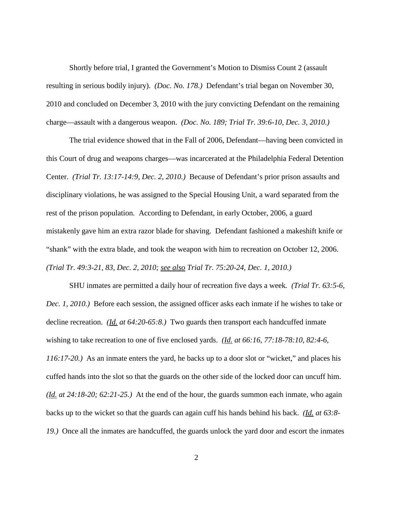Shortly before trial, I granted the Government's Motion to Dismiss Count 2 (assault resulting in serious bodily injury). *(Doc. No. 178.)* Defendant's trial began on November 30, 2010 and concluded on December 3, 2010 with the jury convicting Defendant on the remaining charge—assault with a dangerous weapon. *(Doc. No. 189; Trial Tr. 39:6-10, Dec. 3, 2010.)*

The trial evidence showed that in the Fall of 2006, Defendant—having been convicted in this Court of drug and weapons charges—was incarcerated at the Philadelphia Federal Detention Center. *(Trial Tr. 13:17-14:9, Dec. 2, 2010.)* Because of Defendant's prior prison assaults and disciplinary violations, he was assigned to the Special Housing Unit, a ward separated from the rest of the prison population. According to Defendant, in early October, 2006, a guard mistakenly gave him an extra razor blade for shaving. Defendant fashioned a makeshift knife or "shank" with the extra blade, and took the weapon with him to recreation on October 12, 2006. *(Trial Tr. 49:3-21, 83, Dec. 2, 2010; see also Trial Tr. 75:20-24, Dec. 1, 2010.)*

SHU inmates are permitted a daily hour of recreation five days a week*. (Trial Tr. 63:5-6, Dec. 1, 2010.)* Before each session, the assigned officer asks each inmate if he wishes to take or decline recreation. *(Id. at 64:20-65:8.)* Two guards then transport each handcuffed inmate wishing to take recreation to one of five enclosed yards. *(Id. at 66:16, 77:18-78:10, 82:4-6, 116:17-20.)* As an inmate enters the yard, he backs up to a door slot or "wicket," and places his cuffed hands into the slot so that the guards on the other side of the locked door can uncuff him. *(Id. at 24:18-20; 62:21-25.)* At the end of the hour, the guards summon each inmate, who again backs up to the wicket so that the guards can again cuff his hands behind his back. *(Id. at 63:8- 19.)* Once all the inmates are handcuffed, the guards unlock the yard door and escort the inmates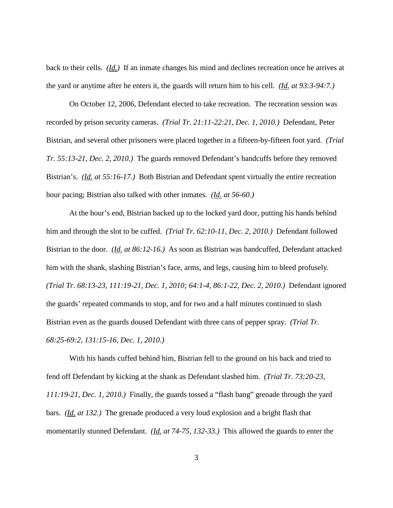back to their cells. *(Id.)* If an inmate changes his mind and declines recreation once he arrives at the yard or anytime after he enters it, the guards will return him to his cell. *(Id. at 93:3-94:7.)*

On October 12, 2006, Defendant elected to take recreation. The recreation session was recorded by prison security cameras. *(Trial Tr. 21:11-22:21, Dec. 1, 2010.)* Defendant, Peter Bistrian, and several other prisoners were placed together in a fifteen-by-fifteen foot yard. *(Trial Tr. 55:13-21, Dec. 2, 2010.)* The guards removed Defendant's handcuffs before they removed Bistrian's. *(Id. at 55:16-17.)* Both Bistrian and Defendant spent virtually the entire recreation hour pacing; Bistrian also talked with other inmates. *(Id. at 56-60.)*

At the hour's end, Bistrian backed up to the locked yard door, putting his hands behind him and through the slot to be cuffed. *(Trial Tr. 62:10-11, Dec. 2, 2010.)* Defendant followed Bistrian to the door. *(Id. at 86:12-16.)* As soon as Bistrian was handcuffed, Defendant attacked him with the shank, slashing Bistrian's face, arms, and legs, causing him to bleed profusely*. (Trial Tr. 68:13-23, 111:19-21, Dec. 1, 2010; 64:1-4, 86:1-22, Dec. 2, 2010.)* Defendant ignored the guards' repeated commands to stop, and for two and a half minutes continued to slash Bistrian even as the guards doused Defendant with three cans of pepper spray. *(Trial Tr. 68:25-69:2, 131:15-16, Dec. 1, 2010.)*

With his hands cuffed behind him, Bistrian fell to the ground on his back and tried to fend off Defendant by kicking at the shank as Defendant slashed him. *(Trial Tr. 73:20-23, 111:19-21, Dec. 1, 2010.)* Finally, the guards tossed a "flash bang" grenade through the yard bars. *(Id. at 132.)* The grenade produced a very loud explosion and a bright flash that momentarily stunned Defendant. *(Id. at 74-75, 132-33.)* This allowed the guards to enter the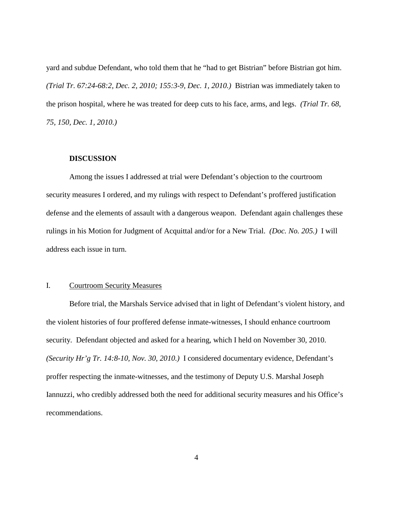yard and subdue Defendant, who told them that he "had to get Bistrian" before Bistrian got him. *(Trial Tr. 67:24-68:2, Dec. 2, 2010; 155:3-9, Dec. 1, 2010.)* Bistrian was immediately taken to the prison hospital, where he was treated for deep cuts to his face, arms, and legs. *(Trial Tr. 68, 75, 150, Dec. 1, 2010.)*

### **DISCUSSION**

Among the issues I addressed at trial were Defendant's objection to the courtroom security measures I ordered, and my rulings with respect to Defendant's proffered justification defense and the elements of assault with a dangerous weapon. Defendant again challenges these rulings in his Motion for Judgment of Acquittal and/or for a New Trial. *(Doc. No. 205.)* I will address each issue in turn.

### I. Courtroom Security Measures

Before trial, the Marshals Service advised that in light of Defendant's violent history, and the violent histories of four proffered defense inmate-witnesses, I should enhance courtroom security. Defendant objected and asked for a hearing, which I held on November 30, 2010. *(Security Hr'g Tr. 14:8-10, Nov. 30, 2010.)* I considered documentary evidence, Defendant's proffer respecting the inmate-witnesses, and the testimony of Deputy U.S. Marshal Joseph Iannuzzi, who credibly addressed both the need for additional security measures and his Office's recommendations.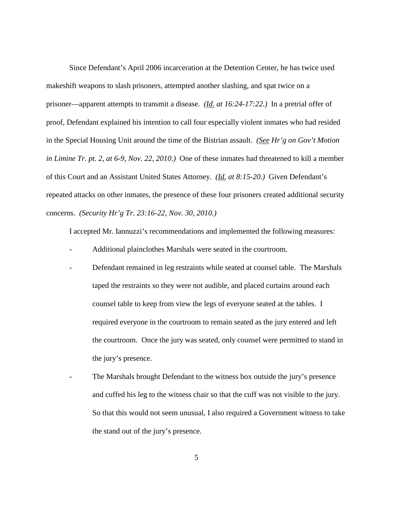Since Defendant's April 2006 incarceration at the Detention Center, he has twice used makeshift weapons to slash prisoners, attempted another slashing, and spat twice on a prisoner—apparent attempts to transmit a disease. *(Id. at 16:24-17:22.)* In a pretrial offer of proof, Defendant explained his intention to call four especially violent inmates who had resided in the Special Housing Unit around the time of the Bistrian assault. *(See Hr'g on Gov't Motion in Limine Tr. pt. 2, at 6-9, Nov. 22, 2010.)* One of these inmates had threatened to kill a member of this Court and an Assistant United States Attorney. *(Id. at 8:15-20.)* Given Defendant's repeated attacks on other inmates, the presence of these four prisoners created additional security concerns. *(Security Hr'g Tr. 23:16-22, Nov. 30, 2010.)*

I accepted Mr. Iannuzzi's recommendations and implemented the following measures:

- Additional plainclothes Marshals were seated in the courtroom.
- Defendant remained in leg restraints while seated at counsel table. The Marshals taped the restraints so they were not audible, and placed curtains around each counsel table to keep from view the legs of everyone seated at the tables. I required everyone in the courtroom to remain seated as the jury entered and left the courtroom. Once the jury was seated, only counsel were permitted to stand in the jury's presence.
- The Marshals brought Defendant to the witness box outside the jury's presence and cuffed his leg to the witness chair so that the cuff was not visible to the jury. So that this would not seem unusual, I also required a Government witness to take the stand out of the jury's presence.

5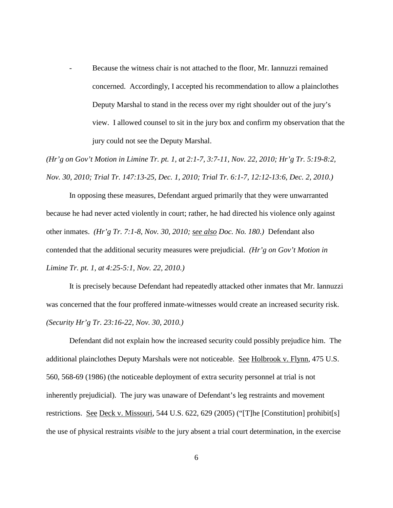Because the witness chair is not attached to the floor, Mr. Iannuzzi remained concerned. Accordingly, I accepted his recommendation to allow a plainclothes Deputy Marshal to stand in the recess over my right shoulder out of the jury's view. I allowed counsel to sit in the jury box and confirm my observation that the jury could not see the Deputy Marshal.

*(Hr'g on Gov't Motion in Limine Tr. pt. 1, at 2:1-7, 3:7-11, Nov. 22, 2010; Hr'g Tr. 5:19-8:2, Nov. 30, 2010; Trial Tr. 147:13-25, Dec. 1, 2010; Trial Tr. 6:1-7, 12:12-13:6, Dec. 2, 2010.)*

In opposing these measures, Defendant argued primarily that they were unwarranted because he had never acted violently in court; rather, he had directed his violence only against other inmates. *(Hr'g Tr. 7:1-8, Nov. 30, 2010; see also Doc. No. 180.)* Defendant also contended that the additional security measures were prejudicial. *(Hr'g on Gov't Motion in Limine Tr. pt. 1, at 4:25-5:1, Nov. 22, 2010.)*

It is precisely because Defendant had repeatedly attacked other inmates that Mr. Iannuzzi was concerned that the four proffered inmate-witnesses would create an increased security risk. *(Security Hr'g Tr. 23:16-22, Nov. 30, 2010.)*

Defendant did not explain how the increased security could possibly prejudice him. The additional plainclothes Deputy Marshals were not noticeable. See Holbrook v. Flynn, 475 U.S. 560, 568-69 (1986) (the noticeable deployment of extra security personnel at trial is not inherently prejudicial). The jury was unaware of Defendant's leg restraints and movement restrictions. See Deck v. Missouri, 544 U.S. 622, 629 (2005) ("[T]he [Constitution] prohibit[s] the use of physical restraints *visible* to the jury absent a trial court determination, in the exercise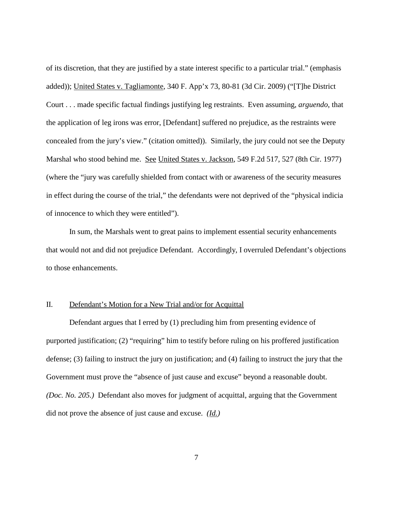of its discretion, that they are justified by a state interest specific to a particular trial." (emphasis added)); United States v. Tagliamonte, 340 F. App'x 73, 80-81 (3d Cir. 2009) ("[T]he District Court . . . made specific factual findings justifying leg restraints. Even assuming, *arguendo*, that the application of leg irons was error, [Defendant] suffered no prejudice, as the restraints were concealed from the jury's view." (citation omitted)). Similarly, the jury could not see the Deputy Marshal who stood behind me. See United States v. Jackson, 549 F.2d 517, 527 (8th Cir. 1977) (where the "jury was carefully shielded from contact with or awareness of the security measures in effect during the course of the trial," the defendants were not deprived of the "physical indicia of innocence to which they were entitled").

In sum, the Marshals went to great pains to implement essential security enhancements that would not and did not prejudice Defendant. Accordingly, I overruled Defendant's objections to those enhancements.

## II. Defendant's Motion for a New Trial and/or for Acquittal

Defendant argues that I erred by (1) precluding him from presenting evidence of purported justification; (2) "requiring" him to testify before ruling on his proffered justification defense; (3) failing to instruct the jury on justification; and (4) failing to instruct the jury that the Government must prove the "absence of just cause and excuse" beyond a reasonable doubt. *(Doc. No. 205.)* Defendant also moves for judgment of acquittal, arguing that the Government did not prove the absence of just cause and excuse. *(Id.)*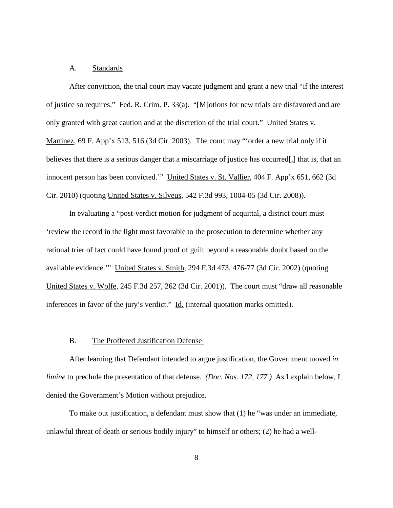### A. Standards

After conviction, the trial court may vacate judgment and grant a new trial "if the interest of justice so requires." Fed. R. Crim. P. 33(a). "[M]otions for new trials are disfavored and are only granted with great caution and at the discretion of the trial court." United States v. Martinez, 69 F. App'x 513, 516 (3d Cir. 2003). The court may "'order a new trial only if it believes that there is a serious danger that a miscarriage of justice has occurred[,] that is, that an innocent person has been convicted.'" United States v. St. Vallier, 404 F. App'x 651, 662 (3d Cir. 2010) (quoting United States v. Silveus, 542 F.3d 993, 1004-05 (3d Cir. 2008)).

In evaluating a "post-verdict motion for judgment of acquittal, a district court must 'review the record in the light most favorable to the prosecution to determine whether any rational trier of fact could have found proof of guilt beyond a reasonable doubt based on the available evidence.'" United States v. Smith, 294 F.3d 473, 476-77 (3d Cir. 2002) (quoting United States v. Wolfe, 245 F.3d 257, 262 (3d Cir. 2001)). The court must "draw all reasonable inferences in favor of the jury's verdict." Id. (internal quotation marks omitted).

#### B. The Proffered Justification Defense

After learning that Defendant intended to argue justification, the Government moved *in limine* to preclude the presentation of that defense. *(Doc. Nos. 172, 177.)* As I explain below, I denied the Government's Motion without prejudice.

To make out justification, a defendant must show that (1) he "was under an immediate, unlawful threat of death or serious bodily injury" to himself or others; (2) he had a well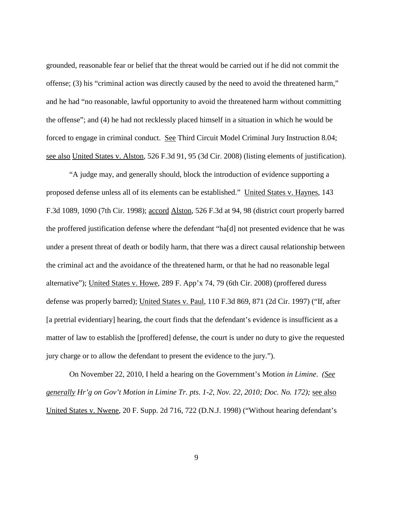grounded, reasonable fear or belief that the threat would be carried out if he did not commit the offense; (3) his "criminal action was directly caused by the need to avoid the threatened harm," and he had "no reasonable, lawful opportunity to avoid the threatened harm without committing the offense"; and (4) he had not recklessly placed himself in a situation in which he would be forced to engage in criminal conduct. See Third Circuit Model Criminal Jury Instruction 8.04; see also United States v. Alston, 526 F.3d 91, 95 (3d Cir. 2008) (listing elements of justification).

"A judge may, and generally should, block the introduction of evidence supporting a proposed defense unless all of its elements can be established." United States v. Haynes, 143 F.3d 1089, 1090 (7th Cir. 1998); accord Alston, 526 F.3d at 94, 98 (district court properly barred the proffered justification defense where the defendant "ha[d] not presented evidence that he was under a present threat of death or bodily harm, that there was a direct causal relationship between the criminal act and the avoidance of the threatened harm, or that he had no reasonable legal alternative"); United States v. Howe, 289 F. App'x 74, 79 (6th Cir. 2008) (proffered duress defense was properly barred); United States v. Paul, 110 F.3d 869, 871 (2d Cir. 1997) ("If, after [a pretrial evidentiary] hearing, the court finds that the defendant's evidence is insufficient as a matter of law to establish the [proffered] defense, the court is under no duty to give the requested jury charge or to allow the defendant to present the evidence to the jury.").

On November 22, 2010, I held a hearing on the Government's Motion *in Limine*. *(See generally Hr'g on Gov't Motion in Limine Tr. pts. 1-2, Nov. 22, 2010; Doc. No. 172);* see also United States v. Nwene, 20 F. Supp. 2d 716, 722 (D.N.J. 1998) ("Without hearing defendant's

9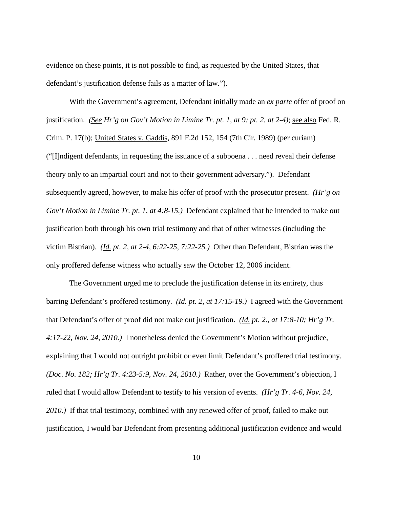evidence on these points, it is not possible to find, as requested by the United States, that defendant's justification defense fails as a matter of law.").

With the Government's agreement, Defendant initially made an *ex parte* offer of proof on justification. *(See Hr'g on Gov't Motion in Limine Tr. pt. 1, at 9; pt. 2, at 2-4)*; see also Fed. R. Crim. P. 17(b); United States v. Gaddis, 891 F.2d 152, 154 (7th Cir. 1989) (per curiam) ("[I]ndigent defendants, in requesting the issuance of a subpoena . . . need reveal their defense theory only to an impartial court and not to their government adversary."). Defendant subsequently agreed, however, to make his offer of proof with the prosecutor present. *(Hr'g on Gov't Motion in Limine Tr. pt. 1, at 4:8-15.)* Defendant explained that he intended to make out justification both through his own trial testimony and that of other witnesses (including the victim Bistrian). *(Id. pt. 2, at 2-4, 6:22-25, 7:22-25.)* Other than Defendant, Bistrian was the only proffered defense witness who actually saw the October 12, 2006 incident.

The Government urged me to preclude the justification defense in its entirety, thus barring Defendant's proffered testimony. *(Id. pt. 2, at 17:15-19.)* I agreed with the Government that Defendant's offer of proof did not make out justification. *(Id. pt. 2., at 17:8-10; Hr'g Tr. 4:17-22, Nov. 24, 2010.)* I nonetheless denied the Government's Motion without prejudice, explaining that I would not outright prohibit or even limit Defendant's proffered trial testimony. *(Doc. No. 182; Hr'g Tr. 4:23-5:9, Nov. 24, 2010.)* Rather, over the Government's objection, I ruled that I would allow Defendant to testify to his version of events. *(Hr'g Tr. 4-6, Nov. 24, 2010.)* If that trial testimony, combined with any renewed offer of proof, failed to make out justification, I would bar Defendant from presenting additional justification evidence and would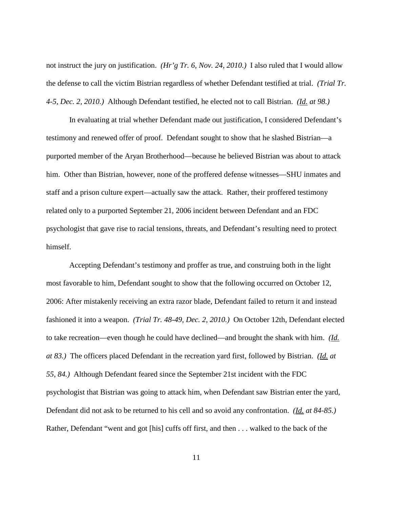not instruct the jury on justification. *(Hr'g Tr. 6, Nov. 24, 2010.)* I also ruled that I would allow the defense to call the victim Bistrian regardless of whether Defendant testified at trial. *(Trial Tr. 4-5, Dec. 2, 2010.)* Although Defendant testified, he elected not to call Bistrian. *(Id. at 98.)*

In evaluating at trial whether Defendant made out justification, I considered Defendant's testimony and renewed offer of proof. Defendant sought to show that he slashed Bistrian—a purported member of the Aryan Brotherhood—because he believed Bistrian was about to attack him. Other than Bistrian, however, none of the proffered defense witnesses—SHU inmates and staff and a prison culture expert—actually saw the attack. Rather, their proffered testimony related only to a purported September 21, 2006 incident between Defendant and an FDC psychologist that gave rise to racial tensions, threats, and Defendant's resulting need to protect himself.

Accepting Defendant's testimony and proffer as true, and construing both in the light most favorable to him, Defendant sought to show that the following occurred on October 12, 2006: After mistakenly receiving an extra razor blade, Defendant failed to return it and instead fashioned it into a weapon. *(Trial Tr. 48-49, Dec. 2, 2010.)* On October 12th, Defendant elected to take recreation—even though he could have declined—and brought the shank with him. *(Id. at 83.)* The officers placed Defendant in the recreation yard first, followed by Bistrian. *(Id. at 55, 84.)* Although Defendant feared since the September 21st incident with the FDC psychologist that Bistrian was going to attack him, when Defendant saw Bistrian enter the yard, Defendant did not ask to be returned to his cell and so avoid any confrontation. *(Id. at 84-85.)* Rather, Defendant "went and got [his] cuffs off first, and then . . . walked to the back of the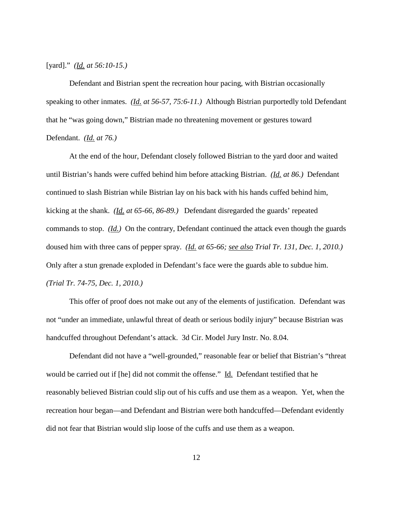[yard]." *(Id. at 56:10-15.)*

Defendant and Bistrian spent the recreation hour pacing, with Bistrian occasionally speaking to other inmates. *(Id. at 56-57, 75:6-11.)* Although Bistrian purportedly told Defendant that he "was going down," Bistrian made no threatening movement or gestures toward Defendant. *(Id. at 76.)*

At the end of the hour, Defendant closely followed Bistrian to the yard door and waited until Bistrian's hands were cuffed behind him before attacking Bistrian. *(Id. at 86.)* Defendant continued to slash Bistrian while Bistrian lay on his back with his hands cuffed behind him, kicking at the shank. *(Id. at 65-66, 86-89.)* Defendant disregarded the guards' repeated commands to stop. *(Id.)* On the contrary, Defendant continued the attack even though the guards doused him with three cans of pepper spray. *(Id. at 65-66; see also Trial Tr. 131, Dec. 1, 2010.)* Only after a stun grenade exploded in Defendant's face were the guards able to subdue him. *(Trial Tr. 74-75, Dec. 1, 2010.)*

This offer of proof does not make out any of the elements of justification. Defendant was not "under an immediate, unlawful threat of death or serious bodily injury" because Bistrian was handcuffed throughout Defendant's attack. 3d Cir. Model Jury Instr. No. 8.04.

Defendant did not have a "well-grounded," reasonable fear or belief that Bistrian's "threat would be carried out if [he] did not commit the offense." Id. Defendant testified that he reasonably believed Bistrian could slip out of his cuffs and use them as a weapon. Yet, when the recreation hour began—and Defendant and Bistrian were both handcuffed—Defendant evidently did not fear that Bistrian would slip loose of the cuffs and use them as a weapon.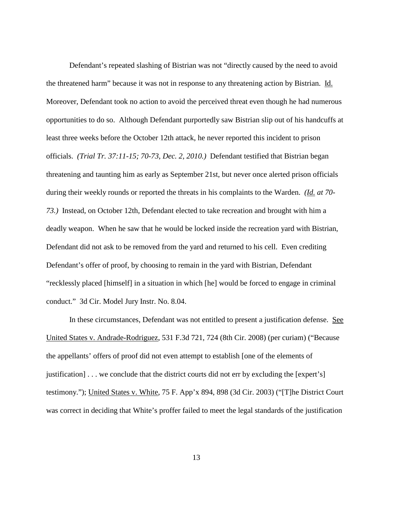Defendant's repeated slashing of Bistrian was not "directly caused by the need to avoid the threatened harm" because it was not in response to any threatening action by Bistrian. Id. Moreover, Defendant took no action to avoid the perceived threat even though he had numerous opportunities to do so. Although Defendant purportedly saw Bistrian slip out of his handcuffs at least three weeks before the October 12th attack, he never reported this incident to prison officials. *(Trial Tr. 37:11-15; 70-73, Dec. 2, 2010.)* Defendant testified that Bistrian began threatening and taunting him as early as September 21st, but never once alerted prison officials during their weekly rounds or reported the threats in his complaints to the Warden. *(Id. at 70- 73.)* Instead, on October 12th, Defendant elected to take recreation and brought with him a deadly weapon. When he saw that he would be locked inside the recreation yard with Bistrian, Defendant did not ask to be removed from the yard and returned to his cell. Even crediting Defendant's offer of proof, by choosing to remain in the yard with Bistrian, Defendant "recklessly placed [himself] in a situation in which [he] would be forced to engage in criminal conduct." 3d Cir. Model Jury Instr. No. 8.04.

In these circumstances, Defendant was not entitled to present a justification defense. See United States v. Andrade-Rodriguez, 531 F.3d 721, 724 (8th Cir. 2008) (per curiam) ("Because the appellants' offers of proof did not even attempt to establish [one of the elements of justification] . . . we conclude that the district courts did not err by excluding the [expert's] testimony."); United States v. White, 75 F. App'x 894, 898 (3d Cir. 2003) ("[T]he District Court was correct in deciding that White's proffer failed to meet the legal standards of the justification

13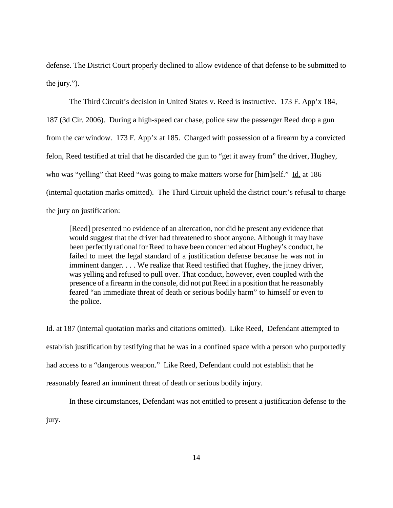defense. The District Court properly declined to allow evidence of that defense to be submitted to the jury.").

The Third Circuit's decision in United States v. Reed is instructive. 173 F. App'x 184, 187 (3d Cir. 2006). During a high-speed car chase, police saw the passenger Reed drop a gun from the car window. 173 F. App'x at 185. Charged with possession of a firearm by a convicted felon, Reed testified at trial that he discarded the gun to "get it away from" the driver, Hughey, who was "yelling" that Reed "was going to make matters worse for [him]self." Id. at 186 (internal quotation marks omitted). The Third Circuit upheld the district court's refusal to charge the jury on justification:

[Reed] presented no evidence of an altercation, nor did he present any evidence that would suggest that the driver had threatened to shoot anyone. Although it may have been perfectly rational for Reed to have been concerned about Hughey's conduct, he failed to meet the legal standard of a justification defense because he was not in imminent danger. . . . We realize that Reed testified that Hughey, the jitney driver, was yelling and refused to pull over. That conduct, however, even coupled with the presence of a firearm in the console, did not put Reed in a position that he reasonably feared "an immediate threat of death or serious bodily harm" to himself or even to the police.

Id. at 187 (internal quotation marks and citations omitted). Like Reed, Defendant attempted to establish justification by testifying that he was in a confined space with a person who purportedly had access to a "dangerous weapon." Like Reed, Defendant could not establish that he reasonably feared an imminent threat of death or serious bodily injury.

In these circumstances, Defendant was not entitled to present a justification defense to the jury.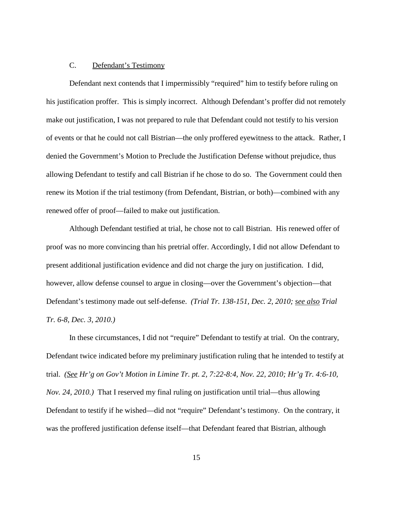#### C. Defendant's Testimony

Defendant next contends that I impermissibly "required" him to testify before ruling on his justification proffer. This is simply incorrect. Although Defendant's proffer did not remotely make out justification, I was not prepared to rule that Defendant could not testify to his version of events or that he could not call Bistrian—the only proffered eyewitness to the attack. Rather, I denied the Government's Motion to Preclude the Justification Defense without prejudice, thus allowing Defendant to testify and call Bistrian if he chose to do so. The Government could then renew its Motion if the trial testimony (from Defendant, Bistrian, or both)—combined with any renewed offer of proof—failed to make out justification.

Although Defendant testified at trial, he chose not to call Bistrian. His renewed offer of proof was no more convincing than his pretrial offer. Accordingly, I did not allow Defendant to present additional justification evidence and did not charge the jury on justification. I did, however, allow defense counsel to argue in closing—over the Government's objection—that Defendant's testimony made out self-defense. *(Trial Tr. 138-151, Dec. 2, 2010; see also Trial Tr. 6-8, Dec. 3, 2010.)*

In these circumstances, I did not "require" Defendant to testify at trial. On the contrary, Defendant twice indicated before my preliminary justification ruling that he intended to testify at trial. *(See Hr'g on Gov't Motion in Limine Tr. pt. 2, 7:22-8:4, Nov. 22, 2010; Hr'g Tr. 4:6-10, Nov. 24, 2010.)* That I reserved my final ruling on justification until trial—thus allowing Defendant to testify if he wished—did not "require" Defendant's testimony. On the contrary, it was the proffered justification defense itself—that Defendant feared that Bistrian, although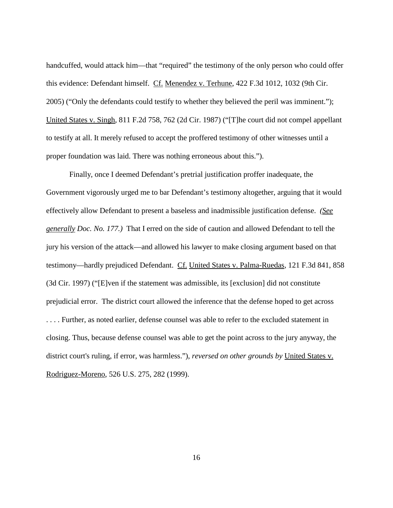handcuffed, would attack him—that "required" the testimony of the only person who could offer this evidence: Defendant himself. Cf. Menendez v. Terhune, 422 F.3d 1012, 1032 (9th Cir. 2005) ("Only the defendants could testify to whether they believed the peril was imminent."); United States v. Singh, 811 F.2d 758, 762 (2d Cir. 1987) ("[T]he court did not compel appellant to testify at all. It merely refused to accept the proffered testimony of other witnesses until a proper foundation was laid. There was nothing erroneous about this.").

Finally, once I deemed Defendant's pretrial justification proffer inadequate, the Government vigorously urged me to bar Defendant's testimony altogether, arguing that it would effectively allow Defendant to present a baseless and inadmissible justification defense. *(See generally Doc. No. 177.)* That I erred on the side of caution and allowed Defendant to tell the jury his version of the attack—and allowed his lawyer to make closing argument based on that testimony—hardly prejudiced Defendant. Cf. United States v. Palma-Ruedas, 121 F.3d 841, 858 (3d Cir. 1997) ("[E]ven if the statement was admissible, its [exclusion] did not constitute prejudicial error. The district court allowed the inference that the defense hoped to get across . . . . Further, as noted earlier, defense counsel was able to refer to the excluded statement in closing. Thus, because defense counsel was able to get the point across to the jury anyway, the district court's ruling, if error, was harmless."), *reversed on other grounds by* United States v. Rodriguez-Moreno, 526 U.S. 275, 282 (1999).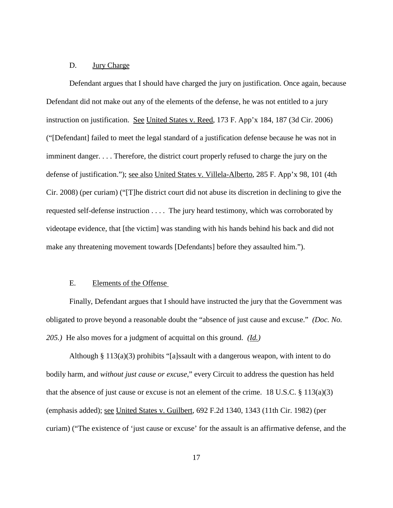#### D. Jury Charge

Defendant argues that I should have charged the jury on justification. Once again, because Defendant did not make out any of the elements of the defense, he was not entitled to a jury instruction on justification. See United States v. Reed, 173 F. App'x 184, 187 (3d Cir. 2006) ("[Defendant] failed to meet the legal standard of a justification defense because he was not in imminent danger. . . . Therefore, the district court properly refused to charge the jury on the defense of justification."); see also United States v. Villela-Alberto, 285 F. App'x 98, 101 (4th Cir. 2008) (per curiam) ("[T]he district court did not abuse its discretion in declining to give the requested self-defense instruction . . . . The jury heard testimony, which was corroborated by videotape evidence, that [the victim] was standing with his hands behind his back and did not make any threatening movement towards [Defendants] before they assaulted him.").

### E. Elements of the Offense

Finally, Defendant argues that I should have instructed the jury that the Government was obligated to prove beyond a reasonable doubt the "absence of just cause and excuse." *(Doc. No. 205.)* He also moves for a judgment of acquittal on this ground. *(Id.)*

Although § 113(a)(3) prohibits "[a]ssault with a dangerous weapon, with intent to do bodily harm, and *without just cause or excuse*," every Circuit to address the question has held that the absence of just cause or excuse is not an element of the crime. 18 U.S.C.  $\S$  113(a)(3) (emphasis added); see United States v. Guilbert, 692 F.2d 1340, 1343 (11th Cir. 1982) (per curiam) ("The existence of 'just cause or excuse' for the assault is an affirmative defense, and the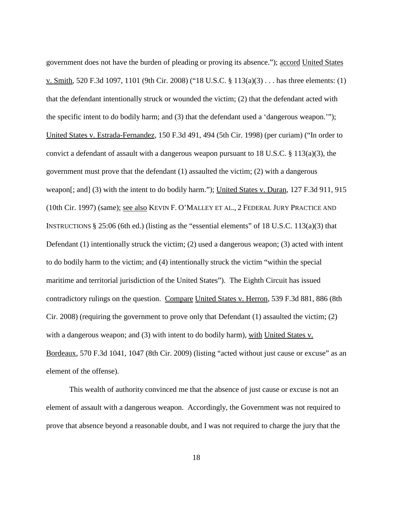government does not have the burden of pleading or proving its absence."); accord United States v. Smith, 520 F.3d 1097, 1101 (9th Cir. 2008) ("18 U.S.C. § 113(a)(3) . . . has three elements: (1) that the defendant intentionally struck or wounded the victim; (2) that the defendant acted with the specific intent to do bodily harm; and (3) that the defendant used a 'dangerous weapon.'"); United States v. Estrada-Fernandez, 150 F.3d 491, 494 (5th Cir. 1998) (per curiam) ("In order to convict a defendant of assault with a dangerous weapon pursuant to 18 U.S.C. § 113(a)(3), the government must prove that the defendant (1) assaulted the victim; (2) with a dangerous weapon[; and] (3) with the intent to do bodily harm."); United States v. Duran, 127 F.3d 911, 915 (10th Cir. 1997) (same); see also KEVIN F. O'MALLEY ET AL., 2 FEDERAL JURY PRACTICE AND INSTRUCTIONS § 25:06 (6th ed.) (listing as the "essential elements" of 18 U.S.C. 113(a)(3) that Defendant (1) intentionally struck the victim; (2) used a dangerous weapon; (3) acted with intent to do bodily harm to the victim; and (4) intentionally struck the victim "within the special maritime and territorial jurisdiction of the United States"). The Eighth Circuit has issued contradictory rulings on the question. Compare United States v. Herron, 539 F.3d 881, 886 (8th Cir. 2008) (requiring the government to prove only that Defendant (1) assaulted the victim; (2) with a dangerous weapon; and (3) with intent to do bodily harm), with United States v. Bordeaux, 570 F.3d 1041, 1047 (8th Cir. 2009) (listing "acted without just cause or excuse" as an element of the offense).

This wealth of authority convinced me that the absence of just cause or excuse is not an element of assault with a dangerous weapon. Accordingly, the Government was not required to prove that absence beyond a reasonable doubt, and I was not required to charge the jury that the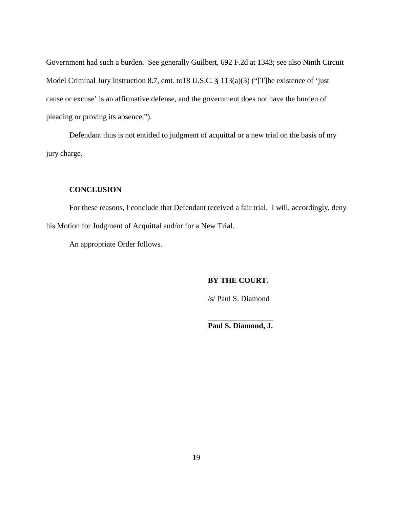Government had such a burden. See generally Guilbert, 692 F.2d at 1343; see also Ninth Circuit Model Criminal Jury Instruction 8.7, cmt. to18 U.S.C. § 113(a)(3) ("[T]he existence of 'just cause or excuse' is an affirmative defense, and the government does not have the burden of pleading or proving its absence.").

Defendant thus is not entitled to judgment of acquittal or a new trial on the basis of my jury charge.

### **CONCLUSION**

For these reasons, I conclude that Defendant received a fair trial. I will, accordingly, deny his Motion for Judgment of Acquittal and/or for a New Trial.

An appropriate Order follows.

**BY THE COURT.**

/s/ Paul S. Diamond

**\_\_\_\_\_\_\_\_\_\_\_\_\_\_\_\_\_ Paul S. Diamond, J.**